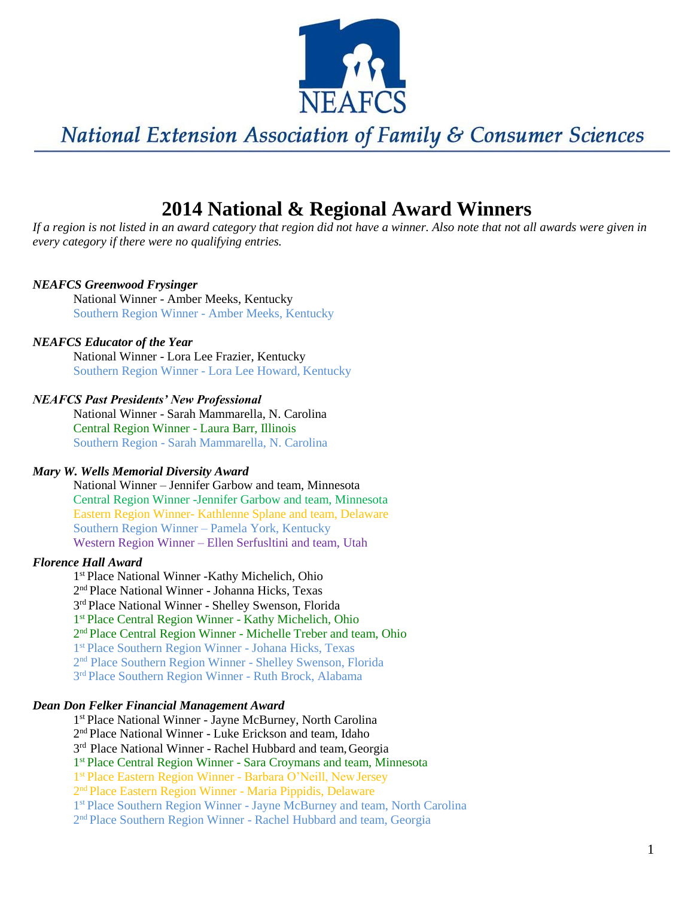

## **2014 National & Regional Award Winners**

*If a region is not listed in an award category that region did not have a winner. Also note that not all awards were given in every category if there were no qualifying entries.*

## *NEAFCS Greenwood Frysinger*

National Winner - Amber Meeks, Kentucky Southern Region Winner - Amber Meeks, Kentucky

## *NEAFCS Educator of the Year*

National Winner - Lora Lee Frazier, Kentucky Southern Region Winner - Lora Lee Howard, Kentucky

## *NEAFCS Past Presidents' New Professional*

National Winner - Sarah Mammarella, N. Carolina Central Region Winner - Laura Barr, Illinois Southern Region - Sarah Mammarella, N. Carolina

### *Mary W. Wells Memorial Diversity Award*

National Winner – Jennifer Garbow and team, Minnesota Central Region Winner -Jennifer Garbow and team, Minnesota Eastern Region Winner- Kathlenne Splane and team, Delaware Southern Region Winner – Pamela York, Kentucky Western Region Winner – Ellen Serfusltini and team, Utah

### *Florence Hall Award*

 st Place National Winner -Kathy Michelich, Ohio nd Place National Winner - Johanna Hicks, Texas 3<sup>rd</sup> Place National Winner - Shelley Swenson, Florida st Place Central Region Winner - Kathy Michelich, Ohio nd Place Central Region Winner - Michelle Treber and team, Ohio st Place Southern Region Winner - Johana Hicks, Texas nd Place Southern Region Winner - Shelley Swenson, Florida 3<sup>rd</sup> Place Southern Region Winner - Ruth Brock, Alabama

#### *Dean Don Felker Financial Management Award*

1 st Place National Winner - Jayne McBurney, North Carolina

2 nd Place National Winner - Luke Erickson and team, Idaho

3<sup>rd</sup> Place National Winner - Rachel Hubbard and team, Georgia

1 st Place Central Region Winner - Sara Croymans and team, Minnesota

1 st Place Eastern Region Winner - Barbara O'Neill, NewJersey

2<sup>nd</sup> Place Eastern Region Winner - Maria Pippidis, Delaware

1<sup>st</sup> Place Southern Region Winner - Jayne McBurney and team, North Carolina

2<sup>nd</sup> Place Southern Region Winner - Rachel Hubbard and team, Georgia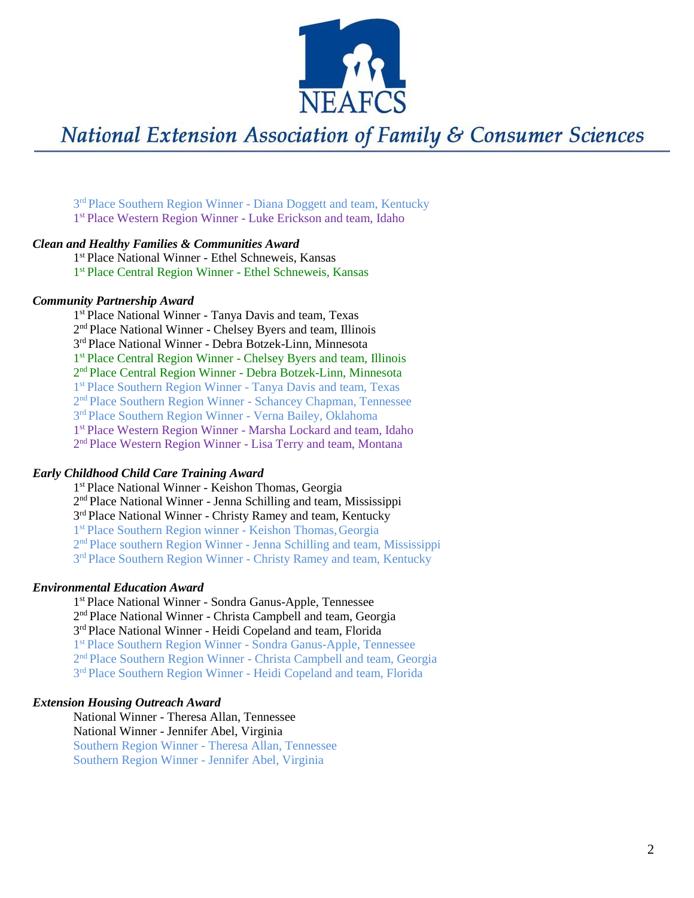

3<sup>rd</sup> Place Southern Region Winner - Diana Doggett and team, Kentucky 1 st Place Western Region Winner - Luke Erickson and team, Idaho

### *Clean and Healthy Families & Communities Award*

1 st Place National Winner - Ethel Schneweis, Kansas 1 st Place Central Region Winner - Ethel Schneweis, Kansas

#### *Community Partnership Award*

1 st Place National Winner - Tanya Davis and team, Texas 2<sup>nd</sup> Place National Winner - Chelsey Byers and team, Illinois 3 rd Place National Winner - Debra Botzek-Linn, Minnesota 1 st Place Central Region Winner - Chelsey Byers and team, Illinois 2<sup>nd</sup> Place Central Region Winner - Debra Botzek-Linn, Minnesota 1 st Place Southern Region Winner - Tanya Davis and team, Texas 2<sup>nd</sup> Place Southern Region Winner - Schancey Chapman, Tennessee 3<sup>rd</sup> Place Southern Region Winner - Verna Bailey, Oklahoma 1 st Place Western Region Winner - Marsha Lockard and team, Idaho 2<sup>nd</sup> Place Western Region Winner - Lisa Terry and team, Montana

#### *Early Childhood Child Care Training Award*

1 st Place National Winner - Keishon Thomas, Georgia 2<sup>nd</sup> Place National Winner - Jenna Schilling and team, Mississippi 3<sup>rd</sup> Place National Winner - Christy Ramey and team, Kentucky 1 st Place Southern Region winner - Keishon Thomas,Georgia 2<sup>nd</sup> Place southern Region Winner - Jenna Schilling and team, Mississippi 3<sup>rd</sup> Place Southern Region Winner - Christy Ramey and team, Kentucky

### *Environmental Education Award*

1 st Place National Winner - Sondra Ganus-Apple, Tennessee 2 nd Place National Winner - Christa Campbell and team, Georgia 3<sup>rd</sup> Place National Winner - Heidi Copeland and team, Florida 1 st Place Southern Region Winner - Sondra Ganus-Apple, Tennessee 2<sup>nd</sup> Place Southern Region Winner - Christa Campbell and team, Georgia 3<sup>rd</sup> Place Southern Region Winner - Heidi Copeland and team, Florida

#### *Extension Housing Outreach Award*

National Winner - Theresa Allan, Tennessee National Winner - Jennifer Abel, Virginia Southern Region Winner - Theresa Allan, Tennessee Southern Region Winner - Jennifer Abel, Virginia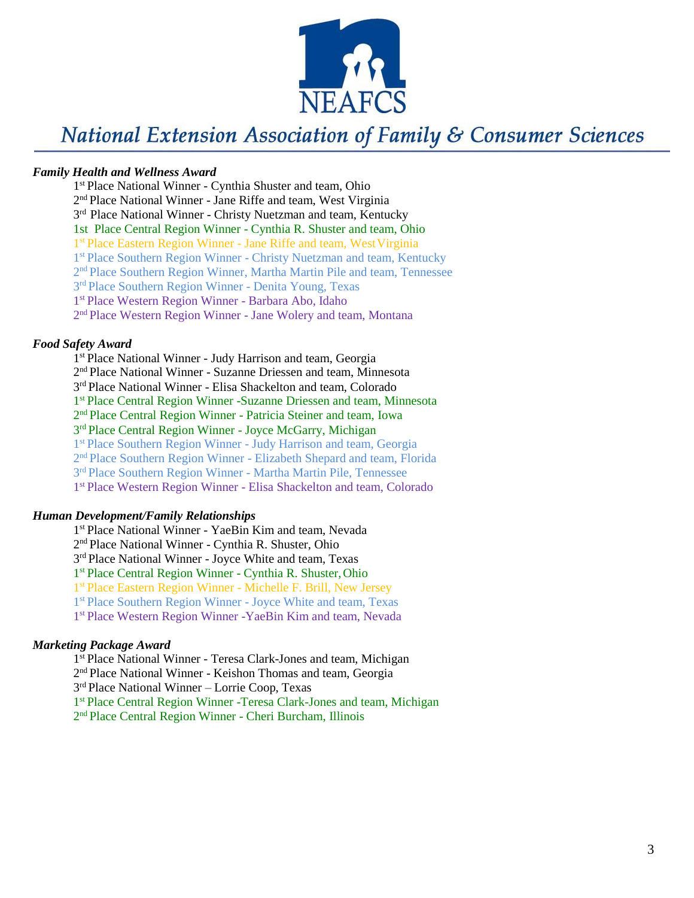

#### *Family Health and Wellness Award*

1 st Place National Winner - Cynthia Shuster and team, Ohio 2<sup>nd</sup> Place National Winner - Jane Riffe and team, West Virginia 3<sup>rd</sup> Place National Winner - Christy Nuetzman and team, Kentucky 1st Place Central Region Winner - Cynthia R. Shuster and team, Ohio 1<sup>st</sup> Place Eastern Region Winner - Jane Riffe and team, West Virginia 1<sup>st</sup> Place Southern Region Winner - Christy Nuetzman and team, Kentucky 2<sup>nd</sup> Place Southern Region Winner, Martha Martin Pile and team, Tennessee 3<sup>rd</sup> Place Southern Region Winner - Denita Young, Texas 1 st Place Western Region Winner - Barbara Abo, Idaho 2<sup>nd</sup> Place Western Region Winner - Jane Wolery and team, Montana

## *Food Safety Award*

1 st Place National Winner - Judy Harrison and team, Georgia 2 nd Place National Winner - Suzanne Driessen and team, Minnesota 3<sup>rd</sup> Place National Winner - Elisa Shackelton and team, Colorado 1 st Place Central Region Winner -Suzanne Driessen and team, Minnesota 2<sup>nd</sup> Place Central Region Winner - Patricia Steiner and team, Iowa 3<sup>rd</sup> Place Central Region Winner - Joyce McGarry, Michigan 1 st Place Southern Region Winner - Judy Harrison and team, Georgia 2<sup>nd</sup> Place Southern Region Winner - Elizabeth Shepard and team, Florida 3<sup>rd</sup> Place Southern Region Winner - Martha Martin Pile, Tennessee 1 st Place Western Region Winner - Elisa Shackelton and team, Colorado

#### *Human Development/Family Relationships*

 st Place National Winner - YaeBin Kim and team, Nevada nd Place National Winner - Cynthia R. Shuster, Ohio 3<sup>rd</sup> Place National Winner - Joyce White and team, Texas st Place Central Region Winner - Cynthia R. Shuster,Ohio st Place Eastern Region Winner - Michelle F. Brill, New Jersey st Place Southern Region Winner - Joyce White and team, Texas st Place Western Region Winner -YaeBin Kim and team, Nevada

### *Marketing Package Award*

1 st Place National Winner - Teresa Clark-Jones and team, Michigan

2<sup>nd</sup> Place National Winner - Keishon Thomas and team, Georgia

3 rd Place National Winner – Lorrie Coop, Texas

1 st Place Central Region Winner -Teresa Clark-Jones and team, Michigan

2 nd Place Central Region Winner - Cheri Burcham, Illinois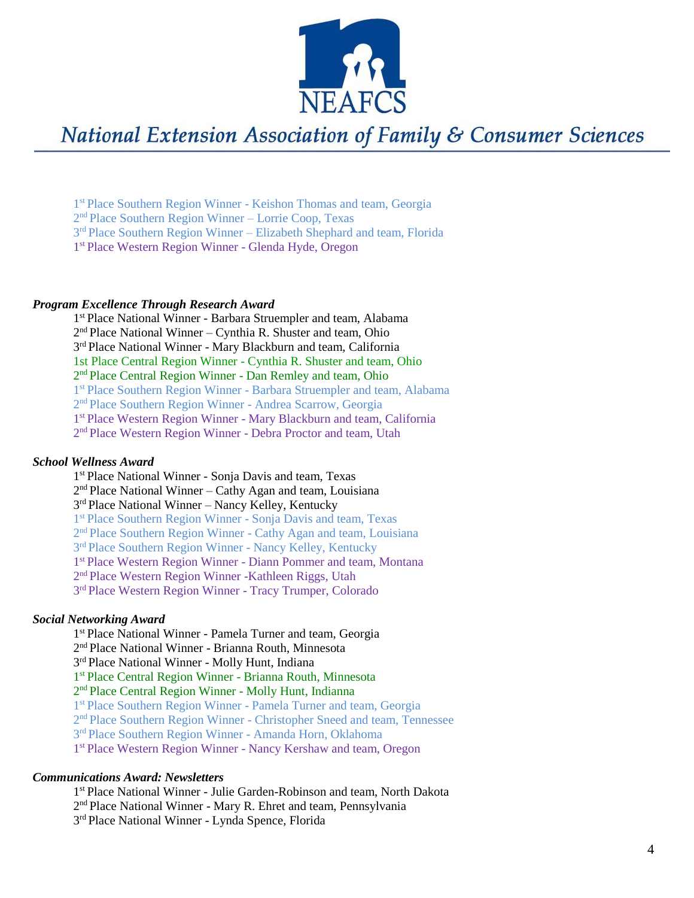

1 st Place Southern Region Winner - Keishon Thomas and team, Georgia 2 nd Place Southern Region Winner – Lorrie Coop, Texas 3<sup>rd</sup> Place Southern Region Winner – Elizabeth Shephard and team, Florida 1<sup>st</sup> Place Western Region Winner - Glenda Hyde, Oregon

#### *Program Excellence Through Research Award*

1 st Place National Winner - Barbara Struempler and team, Alabama 2 nd Place National Winner – Cynthia R. Shuster and team, Ohio 3<sup>rd</sup> Place National Winner - Mary Blackburn and team, California 1st Place Central Region Winner - Cynthia R. Shuster and team, Ohio 2<sup>nd</sup> Place Central Region Winner - Dan Remley and team, Ohio 1<sup>st</sup> Place Southern Region Winner - Barbara Struempler and team, Alabama 2<sup>nd</sup> Place Southern Region Winner - Andrea Scarrow, Georgia 1 st Place Western Region Winner - Mary Blackburn and team, California 2<sup>nd</sup> Place Western Region Winner - Debra Proctor and team, Utah

### *School Wellness Award*

1 st Place National Winner - Sonja Davis and team, Texas 2<sup>nd</sup> Place National Winner – Cathy Agan and team, Louisiana 3<sup>rd</sup> Place National Winner - Nancy Kelley, Kentucky 1 st Place Southern Region Winner - Sonja Davis and team, Texas 2<sup>nd</sup> Place Southern Region Winner - Cathy Agan and team, Louisiana 3<sup>rd</sup> Place Southern Region Winner - Nancy Kelley, Kentucky 1 st Place Western Region Winner - Diann Pommer and team, Montana 2<sup>nd</sup> Place Western Region Winner -Kathleen Riggs, Utah 3<sup>rd</sup> Place Western Region Winner - Tracy Trumper, Colorado

#### *Social Networking Award*

1 st Place National Winner - Pamela Turner and team, Georgia 2 nd Place National Winner - Brianna Routh, Minnesota 3<sup>rd</sup> Place National Winner - Molly Hunt, Indiana 1 st Place Central Region Winner - Brianna Routh, Minnesota 2<sup>nd</sup> Place Central Region Winner - Molly Hunt, Indianna 1 st Place Southern Region Winner - Pamela Turner and team, Georgia 2<sup>nd</sup> Place Southern Region Winner - Christopher Sneed and team, Tennessee 3<sup>rd</sup> Place Southern Region Winner - Amanda Horn, Oklahoma 1 st Place Western Region Winner - Nancy Kershaw and team, Oregon

#### *Communications Award: Newsletters*

1 st Place National Winner - Julie Garden -Robinson and team, North Dakota 2<sup>nd</sup> Place National Winner - Mary R. Ehret and team, Pennsylvania

3 rd Place National Winner - Lynda Spence, Florida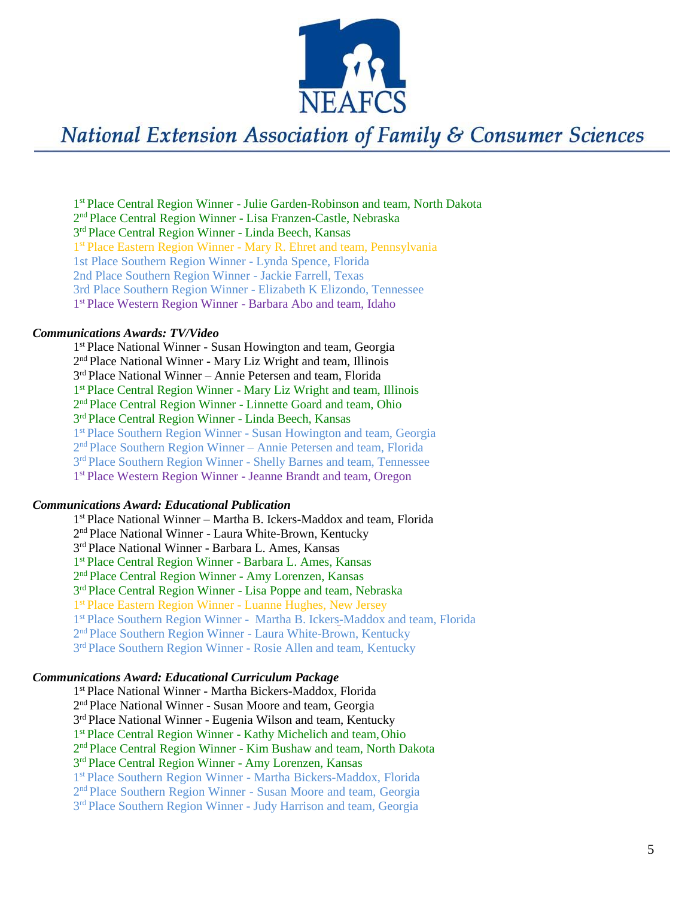

1<sup>st</sup> Place Central Region Winner - Julie Garden-Robinson and team, North Dakota 2 nd Place Central Region Winner - Lisa Franzen -Castle, Nebraska 3<sup>rd</sup> Place Central Region Winner - Linda Beech, Kansas 1<sup>st</sup> Place Eastern Region Winner - Mary R. Ehret and team, Pennsylvania 1st Place Southern Region Winner - Lynda Spence, Florida 2nd Place Southern Region Winner - Jackie Farrell, Texas 3rd Place Southern Region Winner - Elizabeth K Elizondo, Tennessee 1 st Place Western Region Winner - Barbara Abo and team, Idaho

### *Communications Awards: TV/Video*

1 st Place National Winner - Susan Howington and team, Georgia 2 nd Place National Winner - Mary Liz Wright and team, Illinois 3 rd Place National Winner – Annie Petersen and team, Florida 1<sup>st</sup> Place Central Region Winner - Mary Liz Wright and team, Illinois 2<sup>nd</sup> Place Central Region Winner - Linnette Goard and team, Ohio 3<sup>rd</sup> Place Central Region Winner - Linda Beech, Kansas 1<sup>st</sup> Place Southern Region Winner - Susan Howington and team, Georgia 2 nd Place Southern Region Winner – Annie Petersen and team, Florida 3<sup>rd</sup> Place Southern Region Winner - Shelly Barnes and team, Tennessee 1 st Place Western Region Winner - Jeanne Brandt and team, Oregon

#### *Communications Award: Educational Publication*

1 st Place National Winner – Martha B. Ickers - Maddox and team, Florida 2<sup>nd</sup> Place National Winner - Laura White-Brown, Kentucky 3 rd Place National Winner - Barbara L. Ames, Kansas 1 st Place Central Region Winner - Barbara L. Ames, Kansas 2<sup>nd</sup> Place Central Region Winner - Amy Lorenzen, Kansas 3<sup>rd</sup> Place Central Region Winner - Lisa Poppe and team, Nebraska 1 st Place Eastern Region Winner - Luanne Hughes, New Jersey 1<sup>st</sup> Place Southern Region Winner - Martha B. Ickers-Maddox and team, Florida 2<sup>nd</sup> Place Southern Region Winner - Laura White-Brown, Kentucky 3<sup>rd</sup> Place Southern Region Winner - Rosie Allen and team, Kentucky

#### *Communications Award: Educational Curriculum Package*

1 st Place National Winner - Martha Bickers -Maddox, Florida 2<sup>nd</sup> Place National Winner - Susan Moore and team, Georgia 3<sup>rd</sup> Place National Winner - Eugenia Wilson and team, Kentucky 1 st Place Central Region Winner - Kathy Michelich and team,Ohio 2<sup>nd</sup> Place Central Region Winner - Kim Bushaw and team, North Dakota 3<sup>rd</sup> Place Central Region Winner - Amy Lorenzen, Kansas 1 st Place Southern Region Winner - Martha Bickers -Maddox, Florida 2<sup>nd</sup> Place Southern Region Winner - Susan Moore and team, Georgia 3<sup>rd</sup> Place Southern Region Winner - Judy Harrison and team, Georgia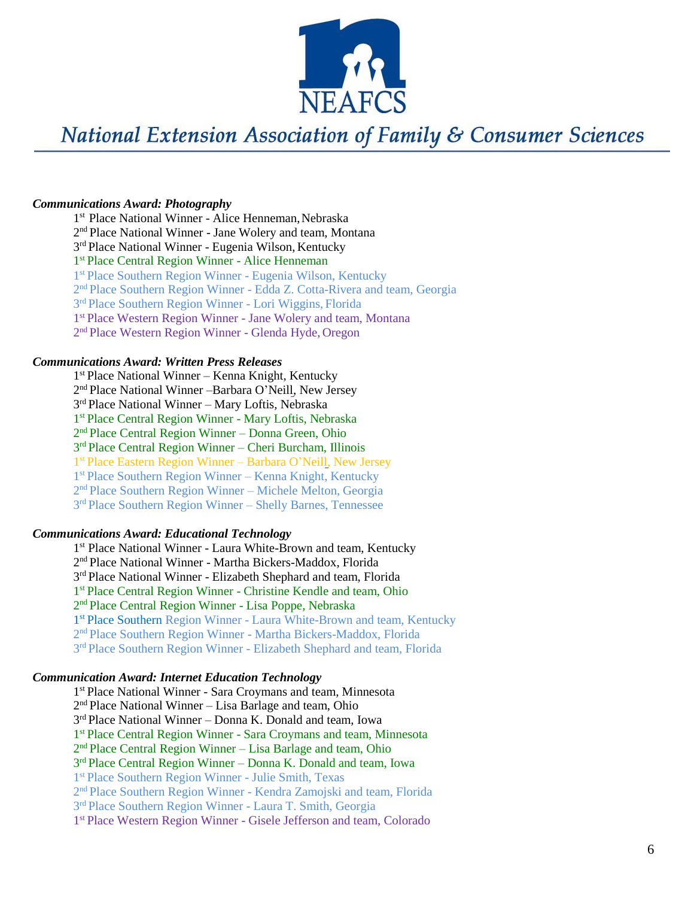

#### *Communications Award: Photography*

1<sup>st</sup> Place National Winner - Alice Henneman, Nebraska 2 nd Place National Winner - Jane Wolery and team, Montana 3<sup>rd</sup> Place National Winner - Eugenia Wilson, Kentucky 1<sup>st</sup> Place Central Region Winner - Alice Henneman 1 st Place Southern Region Winner - Eugenia Wilson, Kentucky 2<sup>nd</sup> Place Southern Region Winner - Edda Z. Cotta-Rivera and team, Georgia 3<sup>rd</sup> Place Southern Region Winner - Lori Wiggins, Florida 1 st Place Western Region Winner - Jane Wolery and team, Montana 2<sup>nd</sup> Place Western Region Winner - Glenda Hyde, Oregon

#### *Communications Award: Written Press Releases*

 st Place National Winner – Kenna Knight, Kentucky 2<sup>nd</sup> Place National Winner -Barbara O'Neill, New Jersey rd Place National Winner – Mary Loftis, Nebraska st Place Central Region Winner - Mary Loftis, Nebraska nd Place Central Region Winner – Donna Green, Ohio rd Place Central Region Winner – Cheri Burcham, Illinois st Place Eastern Region Winner – Barbara O 'Neill, New Jersey st Place Southern Region Winner – Kenna Knight, Kentucky nd Place Southern Region Winner – Michele Melton, Georgia rd Place Southern Region Winner – Shelly Barnes, Tennessee

#### *Communications Award: Educational Technology*

1<sup>st</sup> Place National Winner - Laura White-Brown and team, Kentucky 2 nd Place National Winner - Martha Bickers -Maddox, Florida 3<sup>rd</sup> Place National Winner - Elizabeth Shephard and team, Florida 1 st Place Central Region Winner - Christine Kendle and team, Ohio 2<sup>nd</sup> Place Central Region Winner - Lisa Poppe, Nebraska 1<sup>st</sup> Place Southern Region Winner - Laura White-Brown and team, Kentucky 2 nd Place Southern Region Winner - Martha Bickers -Maddox, Florida 3<sup>rd</sup> Place Southern Region Winner - Elizabeth Shephard and team, Florida

#### *Communication Award: Internet Education Technology*

1 st Place National Winner - Sara Croymans and team, Minnesota 2<sup>nd</sup> Place National Winner - Lisa Barlage and team, Ohio 3<sup>rd</sup> Place National Winner - Donna K. Donald and team, Iowa 1<sup>st</sup> Place Central Region Winner - Sara Croymans and team, Minnesota 2<sup>nd</sup> Place Central Region Winner - Lisa Barlage and team, Ohio 3 rd Place Central Region Winner – Donna K. Donald and team, Iowa 1 st Place Southern Region Winner - Julie Smith, Texas 2 nd Place Southern Region Winner - Kendra Zamojski and team, Florida 3<sup>rd</sup> Place Southern Region Winner - Laura T. Smith, Georgia 1<sup>st</sup> Place Western Region Winner - Gisele Jefferson and team, Colorado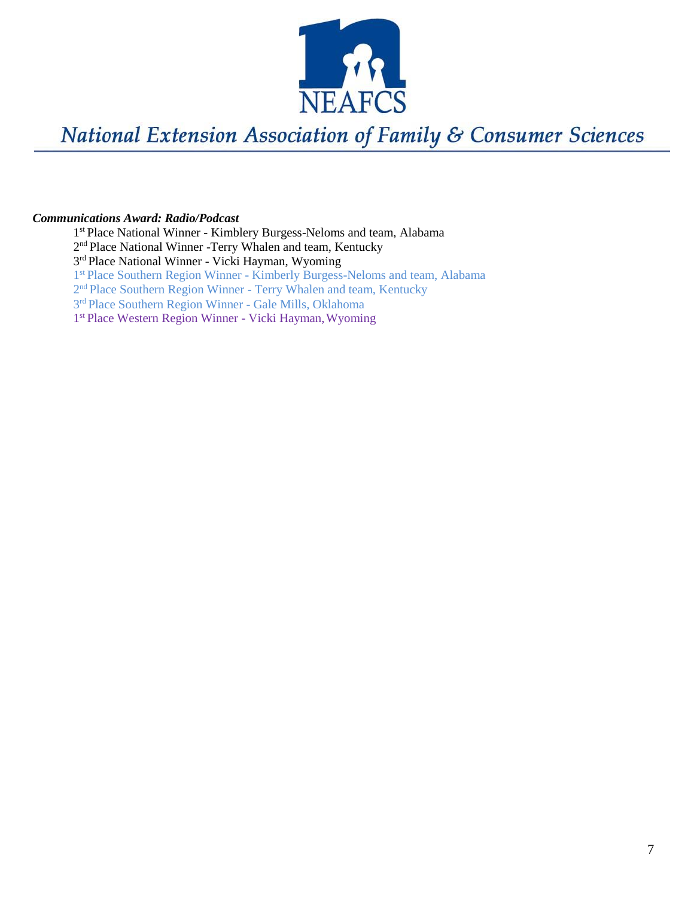

#### *Communications Award: Radio/Podcast*

1 st Place National Winner - Kimblery Burgess-Neloms and team, Alabama 2<sup>nd</sup> Place National Winner -Terry Whalen and team, Kentucky 3<sup>rd</sup> Place National Winner - Vicki Hayman, Wyoming 1 st Place Southern Region Winner - Kimberly Burgess-Neloms and team, Alabama 2<sup>nd</sup> Place Southern Region Winner - Terry Whalen and team, Kentucky 3<sup>rd</sup> Place Southern Region Winner - Gale Mills, Oklahoma 1<sup>st</sup> Place Western Region Winner - Vicki Hayman, Wyoming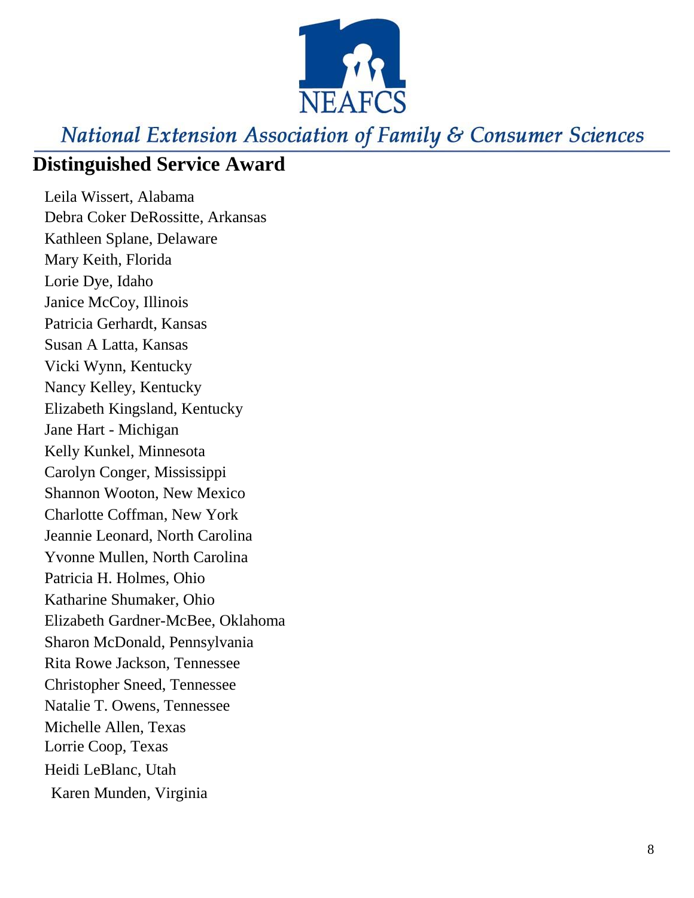

## **Distinguished Service Award**

Leila Wissert, Alabama Debra Coker DeRossitte, Arkansas Kathleen Splane, Delaware Mary Keith, Florida Lorie Dye, Idaho Janice McCoy, Illinois Patricia Gerhardt, Kansas Susan A Latta, Kansas Vicki Wynn, Kentucky Nancy Kelley, Kentucky Elizabeth Kingsland, Kentucky Jane Hart - Michigan Kelly Kunkel, Minnesota Carolyn Conger, Mississippi Shannon Wooton, New Mexico Charlotte Coffman, New York Jeannie Leonard, North Carolina Yvonne Mullen, North Carolina Patricia H. Holmes, Ohio Katharine Shumaker, Ohio Elizabeth Gardner -McBee, Oklahoma Sharon McDonald, Pennsylvania Rita Rowe Jackson, Tennessee Christopher Sneed, Tennessee Natalie T. Owens, Tennessee Michelle Allen, Texas Lorrie Coop, Texas Heidi LeBlanc, Utah Karen Munden, Virginia